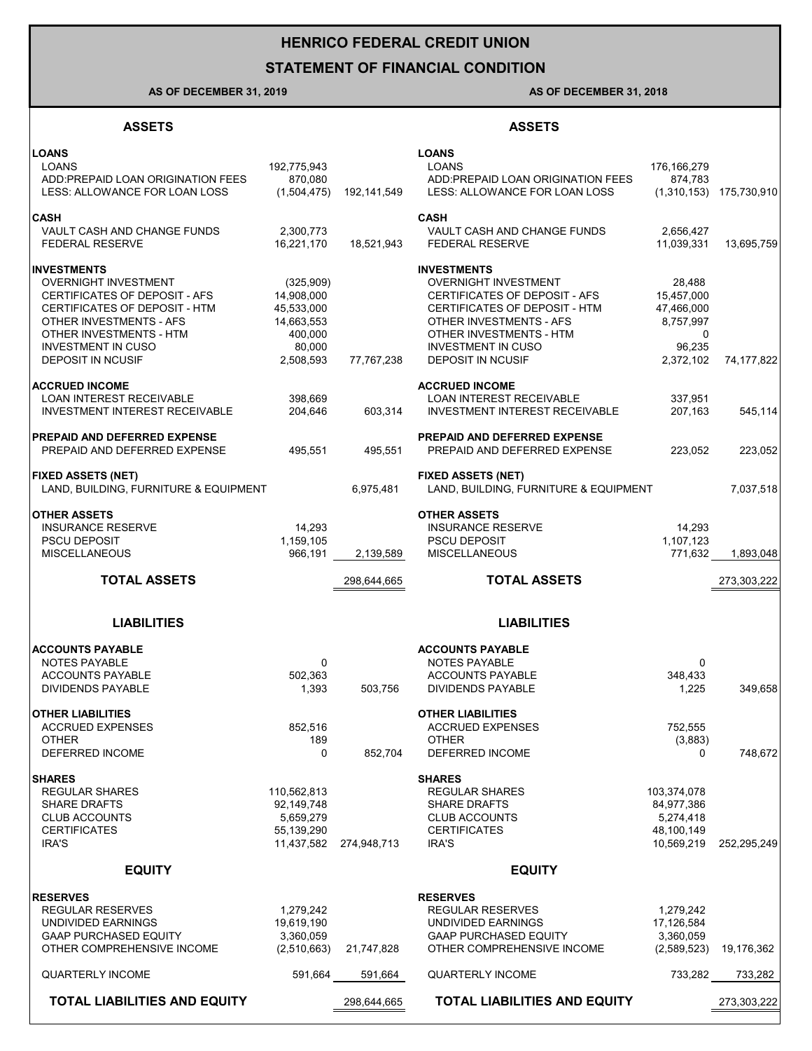# **HENRICO FEDERAL CREDIT UNION**

### **STATEMENT OF FINANCIAL CONDITION**

#### **AS OF DECEMBER 31, 2019 AS OF DECEMBER 31, 2018**

#### **ASSETS ASSETS**

| <b>LOANS</b>                                          |                         |             | <b>LOANS</b>                                          |                         |                           |
|-------------------------------------------------------|-------------------------|-------------|-------------------------------------------------------|-------------------------|---------------------------|
| <b>LOANS</b><br>ADD: PREPAID LOAN ORIGINATION FEES    | 192,775,943<br>870,080  |             | <b>LOANS</b><br>ADD: PREPAID LOAN ORIGINATION FEES    | 176,166,279             |                           |
| LESS: ALLOWANCE FOR LOAN LOSS                         | (1,504,475)             | 192,141,549 | LESS: ALLOWANCE FOR LOAN LOSS                         | 874,783                 | $(1,310,153)$ 175,730,910 |
|                                                       |                         |             |                                                       |                         |                           |
| <b>CASH</b>                                           |                         |             | <b>CASH</b>                                           |                         |                           |
| VAULT CASH AND CHANGE FUNDS<br><b>FEDERAL RESERVE</b> | 2,300,773<br>16,221,170 | 18,521,943  | VAULT CASH AND CHANGE FUNDS<br><b>FEDERAL RESERVE</b> | 2,656,427<br>11,039,331 | 13,695,759                |
|                                                       |                         |             |                                                       |                         |                           |
| <b>INVESTMENTS</b>                                    |                         |             | <b>INVESTMENTS</b>                                    |                         |                           |
| <b>OVERNIGHT INVESTMENT</b>                           | (325,909)               |             | <b>OVERNIGHT INVESTMENT</b>                           | 28,488                  |                           |
| CERTIFICATES OF DEPOSIT - AFS                         | 14,908,000              |             | CERTIFICATES OF DEPOSIT - AFS                         | 15,457,000              |                           |
| CERTIFICATES OF DEPOSIT - HTM                         | 45,533,000              |             | CERTIFICATES OF DEPOSIT - HTM                         | 47,466,000              |                           |
| OTHER INVESTMENTS - AFS                               | 14,663,553              |             | OTHER INVESTMENTS - AFS                               | 8,757,997               |                           |
| OTHER INVESTMENTS - HTM                               | 400,000                 |             | OTHER INVESTMENTS - HTM                               | 0                       |                           |
| <b>INVESTMENT IN CUSO</b><br><b>DEPOSIT IN NCUSIF</b> | 80,000<br>2,508,593     | 77,767,238  | <b>INVESTMENT IN CUSO</b><br><b>DEPOSIT IN NCUSIF</b> | 96,235<br>2,372,102     | 74,177,822                |
|                                                       |                         |             |                                                       |                         |                           |
| <b>ACCRUED INCOME</b>                                 |                         |             | <b>ACCRUED INCOME</b>                                 |                         |                           |
| <b>LOAN INTEREST RECEIVABLE</b>                       | 398,669                 |             | LOAN INTEREST RECEIVABLE                              | 337,951                 |                           |
| <b>INVESTMENT INTEREST RECEIVABLE</b>                 | 204,646                 | 603,314     | <b>INVESTMENT INTEREST RECEIVABLE</b>                 | 207,163                 | 545,114                   |
| <b>PREPAID AND DEFERRED EXPENSE</b>                   |                         |             | PREPAID AND DEFERRED EXPENSE                          |                         |                           |
| PREPAID AND DEFERRED EXPENSE                          | 495,551                 | 495.551     | PREPAID AND DEFERRED EXPENSE                          | 223,052                 | 223,052                   |
|                                                       |                         |             |                                                       |                         |                           |
| <b>FIXED ASSETS (NET)</b>                             |                         |             | <b>FIXED ASSETS (NET)</b>                             |                         |                           |
| LAND, BUILDING, FURNITURE & EQUIPMENT                 |                         | 6,975,481   | LAND, BUILDING, FURNITURE & EQUIPMENT                 |                         | 7,037,518                 |
|                                                       |                         |             |                                                       |                         |                           |
| <b>OTHER ASSETS</b>                                   |                         |             | <b>OTHER ASSETS</b>                                   |                         |                           |
| <b>INSURANCE RESERVE</b>                              | 14,293                  |             | <b>INSURANCE RESERVE</b>                              | 14,293                  |                           |
| <b>PSCU DEPOSIT</b>                                   | 1,159,105               |             | <b>PSCU DEPOSIT</b>                                   | 1,107,123               |                           |
| <b>MISCELLANEOUS</b>                                  | 966,191                 | 2,139,589   | <b>MISCELLANEOUS</b>                                  | 771,632                 | 1,893,048                 |
|                                                       |                         |             |                                                       |                         |                           |
| <b>TOTAL ASSETS</b>                                   |                         | 298,644,665 | <b>TOTAL ASSETS</b>                                   |                         | 273,303,222               |
|                                                       |                         |             |                                                       |                         |                           |
|                                                       |                         |             |                                                       |                         |                           |
| <b>LIABILITIES</b>                                    |                         |             | <b>LIABILITIES</b>                                    |                         |                           |
|                                                       |                         |             |                                                       |                         |                           |
| <b>ACCOUNTS PAYABLE</b><br><b>NOTES PAYABLE</b>       | 0                       |             | <b>ACCOUNTS PAYABLE</b><br><b>NOTES PAYABLE</b>       | 0                       |                           |
| <b>ACCOUNTS PAYABLE</b>                               | 502,363                 |             | <b>ACCOUNTS PAYABLE</b>                               | 348.433                 |                           |
| <b>DIVIDENDS PAYABLE</b>                              | 1,393                   | 503,756     | <b>DIVIDENDS PAYABLE</b>                              | 1,225                   | 349,658                   |
|                                                       |                         |             |                                                       |                         |                           |
| <b>OTHER LIABILITIES</b>                              |                         |             | <b>OTHER LIABILITIES</b>                              |                         |                           |
| <b>ACCRUED EXPENSES</b>                               | 852,516                 |             | <b>ACCRUED EXPENSES</b>                               | 752,555                 |                           |
| <b>OTHER</b>                                          | 189                     |             | <b>OTHER</b>                                          | (3,883)                 |                           |
| DEFERRED INCOME                                       | 0                       | 852,704     | <b>DEFERRED INCOME</b>                                | 0                       | 748,672                   |
| <b>SHARES</b>                                         |                         |             | <b>SHARES</b>                                         |                         |                           |
| <b>REGULAR SHARES</b>                                 | 110,562,813             |             | <b>REGULAR SHARES</b>                                 | 103,374,078             |                           |
| <b>SHARE DRAFTS</b>                                   | 92,149,748              |             | <b>SHARE DRAFTS</b>                                   | 84,977,386              |                           |
| <b>CLUB ACCOUNTS</b>                                  | 5,659,279               |             | <b>CLUB ACCOUNTS</b>                                  | 5,274,418               |                           |
| <b>CERTIFICATES</b>                                   | 55,139,290              |             | <b>CERTIFICATES</b>                                   | 48,100,149              |                           |
| IRA'S                                                 | 11,437,582              | 274,948,713 | IRA'S                                                 | 10,569,219              | 252,295,249               |
|                                                       |                         |             |                                                       |                         |                           |
| <b>EQUITY</b>                                         |                         |             | <b>EQUITY</b>                                         |                         |                           |
| <b>RESERVES</b>                                       |                         |             | <b>RESERVES</b>                                       |                         |                           |
| <b>REGULAR RESERVES</b>                               | 1,279,242               |             | <b>REGULAR RESERVES</b>                               | 1,279,242               |                           |
| UNDIVIDED EARNINGS                                    | 19,619,190              |             | UNDIVIDED EARNINGS                                    | 17,126,584              |                           |
| <b>GAAP PURCHASED EQUITY</b>                          | 3,360,059               |             | <b>GAAP PURCHASED EQUITY</b>                          | 3,360,059               |                           |
| OTHER COMPREHENSIVE INCOME                            | (2,510,663)             | 21,747,828  | OTHER COMPREHENSIVE INCOME                            | (2,589,523)             | 19,176,362                |
| <b>QUARTERLY INCOME</b>                               | 591,664                 | 591,664     | <b>QUARTERLY INCOME</b>                               | 733,282                 | 733,282                   |
| <b>TOTAL LIABILITIES AND EQUITY</b>                   |                         | 298,644,665 | <b>TOTAL LIABILITIES AND EQUITY</b>                   |                         | 273,303,222               |